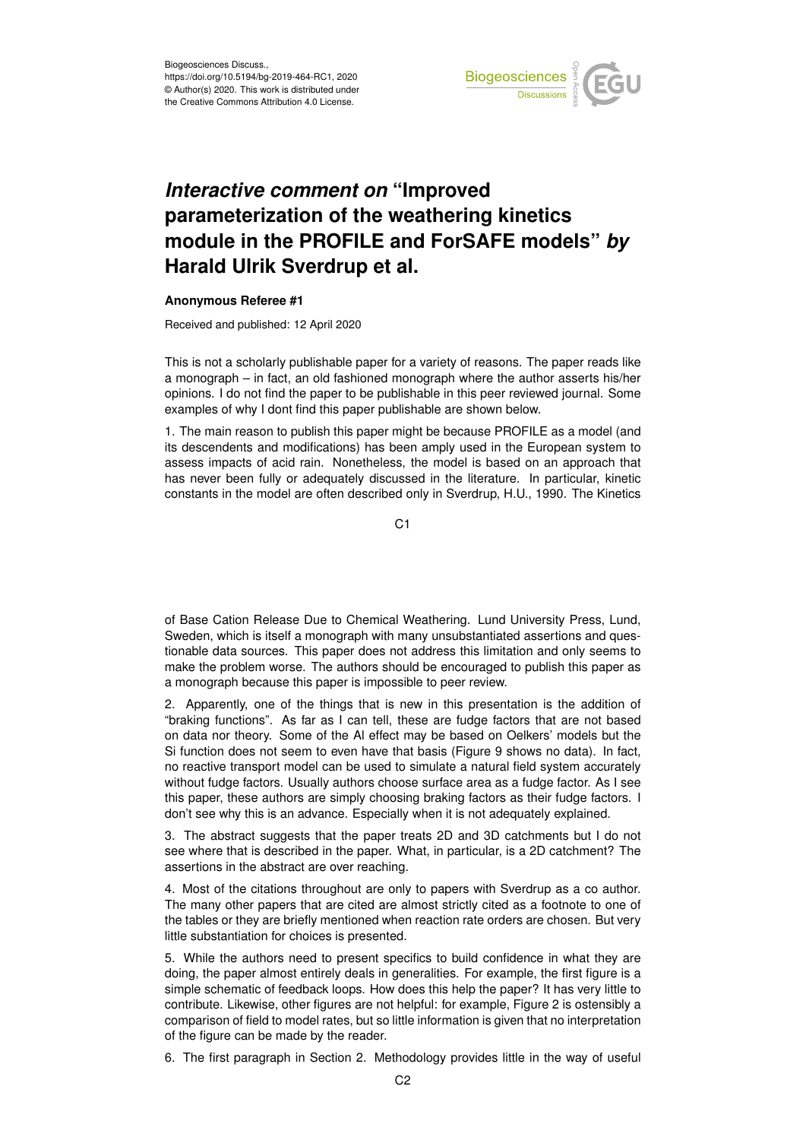

## *Interactive comment on* **"Improved parameterization of the weathering kinetics module in the PROFILE and ForSAFE models"** *by* **Harald Ulrik Sverdrup et al.**

## **Anonymous Referee #1**

Received and published: 12 April 2020

This is not a scholarly publishable paper for a variety of reasons. The paper reads like a monograph – in fact, an old fashioned monograph where the author asserts his/her opinions. I do not find the paper to be publishable in this peer reviewed journal. Some examples of why I dont find this paper publishable are shown below.

1. The main reason to publish this paper might be because PROFILE as a model (and its descendents and modifications) has been amply used in the European system to assess impacts of acid rain. Nonetheless, the model is based on an approach that has never been fully or adequately discussed in the literature. In particular, kinetic constants in the model are often described only in Sverdrup, H.U., 1990. The Kinetics

C1

of Base Cation Release Due to Chemical Weathering. Lund University Press, Lund, Sweden, which is itself a monograph with many unsubstantiated assertions and questionable data sources. This paper does not address this limitation and only seems to make the problem worse. The authors should be encouraged to publish this paper as a monograph because this paper is impossible to peer review.

2. Apparently, one of the things that is new in this presentation is the addition of "braking functions". As far as I can tell, these are fudge factors that are not based on data nor theory. Some of the Al effect may be based on Oelkers' models but the Si function does not seem to even have that basis (Figure 9 shows no data). In fact, no reactive transport model can be used to simulate a natural field system accurately without fudge factors. Usually authors choose surface area as a fudge factor. As I see this paper, these authors are simply choosing braking factors as their fudge factors. I don't see why this is an advance. Especially when it is not adequately explained.

3. The abstract suggests that the paper treats 2D and 3D catchments but I do not see where that is described in the paper. What, in particular, is a 2D catchment? The assertions in the abstract are over reaching.

4. Most of the citations throughout are only to papers with Sverdrup as a co author. The many other papers that are cited are almost strictly cited as a footnote to one of the tables or they are briefly mentioned when reaction rate orders are chosen. But very little substantiation for choices is presented.

5. While the authors need to present specifics to build confidence in what they are doing, the paper almost entirely deals in generalities. For example, the first figure is a simple schematic of feedback loops. How does this help the paper? It has very little to contribute. Likewise, other figures are not helpful: for example, Figure 2 is ostensibly a comparison of field to model rates, but so little information is given that no interpretation of the figure can be made by the reader.

6. The first paragraph in Section 2. Methodology provides little in the way of useful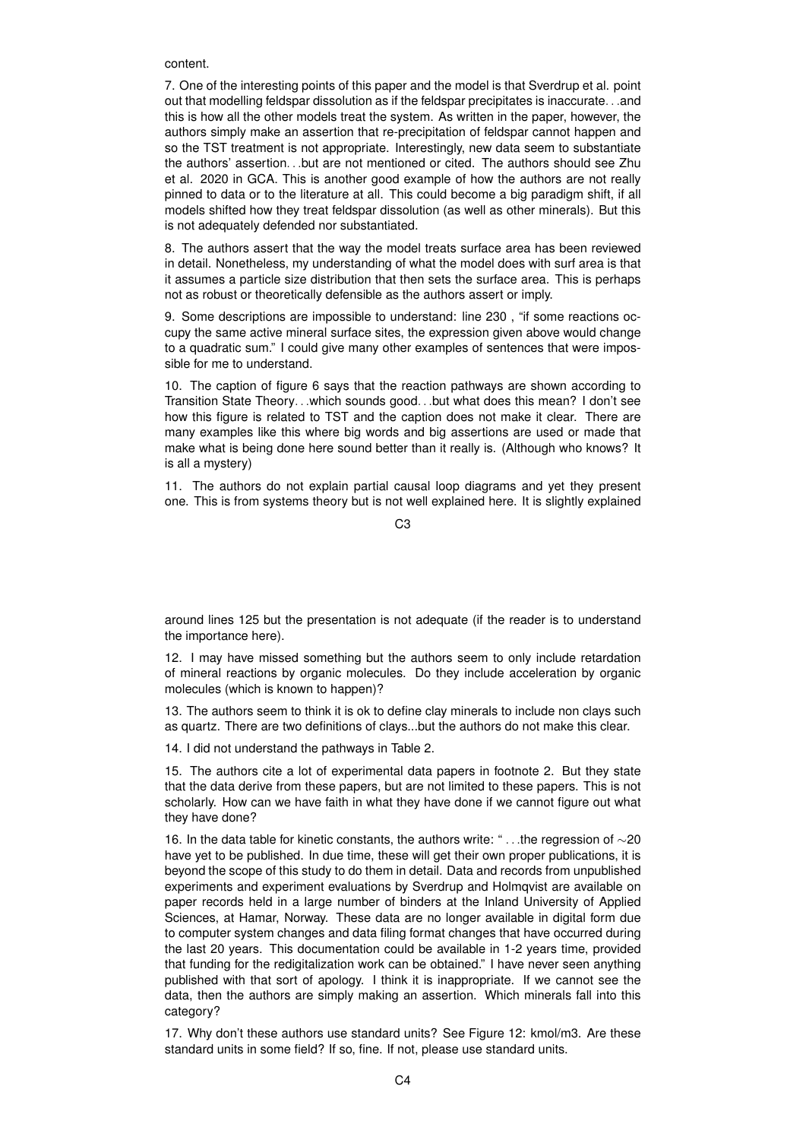content.

7. One of the interesting points of this paper and the model is that Sverdrup et al. point out that modelling feldspar dissolution as if the feldspar precipitates is inaccurate. . .and this is how all the other models treat the system. As written in the paper, however, the authors simply make an assertion that re-precipitation of feldspar cannot happen and so the TST treatment is not appropriate. Interestingly, new data seem to substantiate the authors' assertion. . .but are not mentioned or cited. The authors should see Zhu et al. 2020 in GCA. This is another good example of how the authors are not really pinned to data or to the literature at all. This could become a big paradigm shift, if all models shifted how they treat feldspar dissolution (as well as other minerals). But this is not adequately defended nor substantiated.

8. The authors assert that the way the model treats surface area has been reviewed in detail. Nonetheless, my understanding of what the model does with surf area is that it assumes a particle size distribution that then sets the surface area. This is perhaps not as robust or theoretically defensible as the authors assert or imply.

9. Some descriptions are impossible to understand: line 230 , "if some reactions occupy the same active mineral surface sites, the expression given above would change to a quadratic sum." I could give many other examples of sentences that were impossible for me to understand.

10. The caption of figure 6 says that the reaction pathways are shown according to Transition State Theory. . .which sounds good. . .but what does this mean? I don't see how this figure is related to TST and the caption does not make it clear. There are many examples like this where big words and big assertions are used or made that make what is being done here sound better than it really is. (Although who knows? It is all a mystery)

11. The authors do not explain partial causal loop diagrams and yet they present one. This is from systems theory but is not well explained here. It is slightly explained

C3

around lines 125 but the presentation is not adequate (if the reader is to understand the importance here).

12. I may have missed something but the authors seem to only include retardation of mineral reactions by organic molecules. Do they include acceleration by organic molecules (which is known to happen)?

13. The authors seem to think it is ok to define clay minerals to include non clays such as quartz. There are two definitions of clays...but the authors do not make this clear.

14. I did not understand the pathways in Table 2.

15. The authors cite a lot of experimental data papers in footnote 2. But they state that the data derive from these papers, but are not limited to these papers. This is not scholarly. How can we have faith in what they have done if we cannot figure out what they have done?

16. In the data table for kinetic constants, the authors write: " . . .the regression of ∼20 have yet to be published. In due time, these will get their own proper publications, it is beyond the scope of this study to do them in detail. Data and records from unpublished experiments and experiment evaluations by Sverdrup and Holmqvist are available on paper records held in a large number of binders at the Inland University of Applied Sciences, at Hamar, Norway. These data are no longer available in digital form due to computer system changes and data filing format changes that have occurred during the last 20 years. This documentation could be available in 1-2 years time, provided that funding for the redigitalization work can be obtained." I have never seen anything published with that sort of apology. I think it is inappropriate. If we cannot see the data, then the authors are simply making an assertion. Which minerals fall into this category?

17. Why don't these authors use standard units? See Figure 12: kmol/m3. Are these standard units in some field? If so, fine. If not, please use standard units.